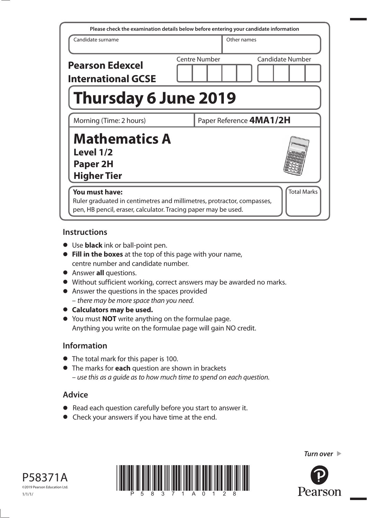|                                                                                                                                                            | Please check the examination details below before entering your candidate information |                         |
|------------------------------------------------------------------------------------------------------------------------------------------------------------|---------------------------------------------------------------------------------------|-------------------------|
| Candidate surname                                                                                                                                          | Other names                                                                           |                         |
| <b>Pearson Edexcel</b><br><b>International GCSE</b>                                                                                                        | <b>Centre Number</b>                                                                  | <b>Candidate Number</b> |
| <b>Thursday 6 June 2019</b>                                                                                                                                |                                                                                       |                         |
| Morning (Time: 2 hours)                                                                                                                                    | Paper Reference 4MA1/2H                                                               |                         |
| <b>Mathematics A</b><br>Level 1/2<br>Paper 2H<br><b>Higher Tier</b>                                                                                        |                                                                                       |                         |
| You must have:<br>Ruler graduated in centimetres and millimetres, protractor, compasses,<br>pen, HB pencil, eraser, calculator. Tracing paper may be used. |                                                                                       | <b>Total Marks</b>      |

## **Instructions**

- **•** Use **black** ink or ball-point pen.
- **• Fill in the boxes** at the top of this page with your name, centre number and candidate number.
- **•** Answer **all** questions.
- **•** Without sufficient working, correct answers may be awarded no marks.
- **•** Answer the questions in the spaces provided – there may be more space than you need.
- **• Calculators may be used.**
- **•** You must **NOT** write anything on the formulae page. Anything you write on the formulae page will gain NO credit.

# **Information**

- **•** The total mark for this paper is 100.
- **•** The marks for **each** question are shown in brackets – use this as a guide as to how much time to spend on each question.

# **Advice**

- **•** Read each question carefully before you start to answer it.
- **•** Check your answers if you have time at the end.





*Turn over* 

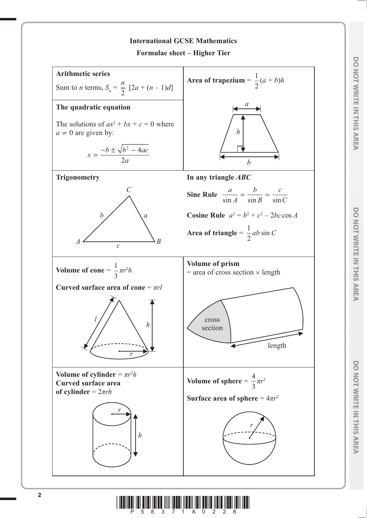

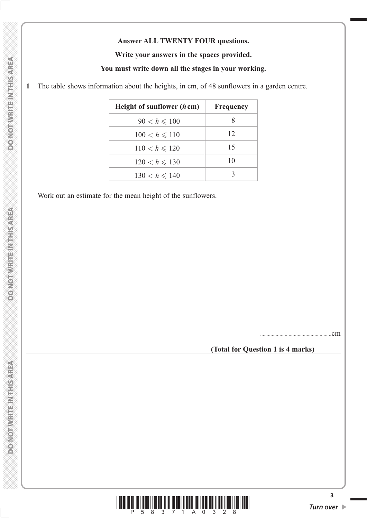#### **Answer ALL TWENTY FOUR questions.**

#### **Write your answers in the spaces provided.**

#### **You must write down all the stages in your working.**

**1** The table shows information about the heights, in cm, of 48 sunflowers in a garden centre.

| Height of sunflower (h cm) | <b>Frequency</b> |
|----------------------------|------------------|
| $90 < h \le 100$           | x                |
| $100 < h \le 110$          | 12               |
| $110 < h \le 120$          | 15               |
| $120 < h \le 130$          | 10               |
| $130 < h \le 140$          |                  |

Work out an estimate for the mean height of the sunflowers.

**(Total for Question 1 is 4 marks)**



.......................................................cm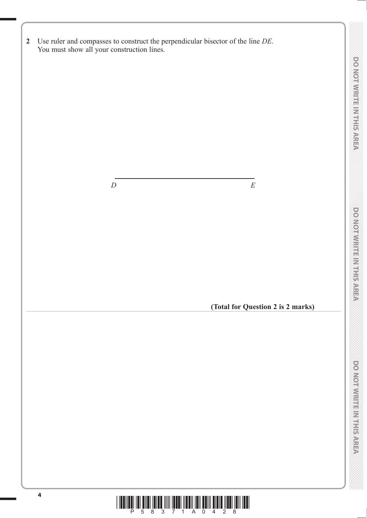| $\overline{2}$ | Use ruler and compasses to construct the perpendicular bisector of the line DE.<br>You must show all your construction lines.                                                                                                                                                                                                                                                                                                                                      |                                  |
|----------------|--------------------------------------------------------------------------------------------------------------------------------------------------------------------------------------------------------------------------------------------------------------------------------------------------------------------------------------------------------------------------------------------------------------------------------------------------------------------|----------------------------------|
|                |                                                                                                                                                                                                                                                                                                                                                                                                                                                                    | <b>DO NOT WRITE INTERNATIONS</b> |
|                | $\cal E$<br>$\boldsymbol{D}$                                                                                                                                                                                                                                                                                                                                                                                                                                       |                                  |
|                |                                                                                                                                                                                                                                                                                                                                                                                                                                                                    |                                  |
|                |                                                                                                                                                                                                                                                                                                                                                                                                                                                                    | <b>DOMORROWER IN THE SARE</b>    |
|                |                                                                                                                                                                                                                                                                                                                                                                                                                                                                    |                                  |
|                |                                                                                                                                                                                                                                                                                                                                                                                                                                                                    |                                  |
|                | (Total for Question 2 is 2 marks)                                                                                                                                                                                                                                                                                                                                                                                                                                  |                                  |
|                |                                                                                                                                                                                                                                                                                                                                                                                                                                                                    |                                  |
|                |                                                                                                                                                                                                                                                                                                                                                                                                                                                                    | <b>PONOMIC TERMIENTS AREA</b>    |
|                | 4<br>$\begin{array}{c} \text{if} \ \text{if} \ \text{if} \ \text{if} \ \text{if} \ \text{if} \ \text{if} \ \text{if} \ \text{if} \ \text{if} \ \text{if} \ \text{if} \ \text{if} \ \text{if} \ \text{if} \ \text{if} \ \text{if} \ \text{if} \ \text{if} \ \text{if} \ \text{if} \ \text{if} \ \text{if} \ \text{if} \ \text{if} \ \text{if} \ \text{if} \ \text{if} \ \text{if} \ \text{if} \ \text{if} \ \text{if} \ \text{if} \ \text{if} \ \text{if} \ \text{$ |                                  |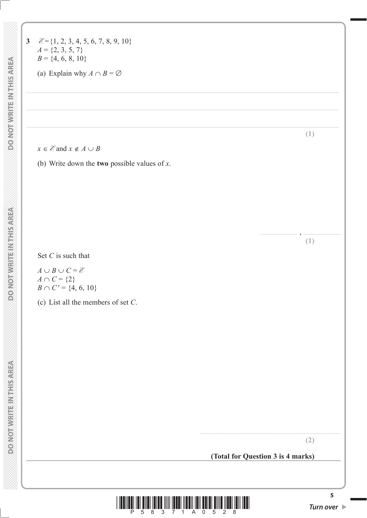**DONOTWRITE IN THIS AREA** 

**MERIVAL HENRICH STATE** 

 $\mathcal{E} = \{1, 2, 3, 4, 5, 6, 7, 8, 9, 10\}$  $\mathbf{3}$  $A = \{2, 3, 5, 7\}$  $B = \{4, 6, 8, 10\}$ 

(a) Explain why  $A \cap B = \emptyset$ 

 $x \in \mathcal{E}$  and  $x \notin A \cup B$ 

(b) Write down the two possible values of  $x$ .

Set  $C$  is such that

 $A \cup B \cup C = \mathcal{E}$  $A \cap C = \{2\}$  $B \cap C' = \{4, 6, 10\}$ 

(c) List all the members of set  $C$ .

 $(2)$ 

 $(1)$ 

 $(1)$ 

#### (Total for Question 3 is 4 marks)

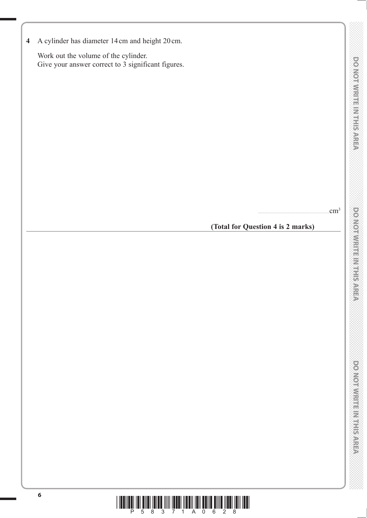**DO NOT WRITE IN THE IN THIS AREA DO NOT WRITE IN THIS AREA DO NOT WRITE IN THIS AREA DO NOT WRITE IN THIS AREA DO NOT WRITE IN THE INTERNATIONAL CONTINUES. THE INTERNATIONAL CONTINUES.** DO NOT WRITE IN THIS AREA

|  | 4 A cylinder has diameter 14 cm and height 20 cm. |  |  |  |  |
|--|---------------------------------------------------|--|--|--|--|
|--|---------------------------------------------------|--|--|--|--|

 Work out the volume of the cylinder. Give your answer correct to 3 significant figures.

**(Total for Question 4 is 2 marks)**

.......................................................cm3

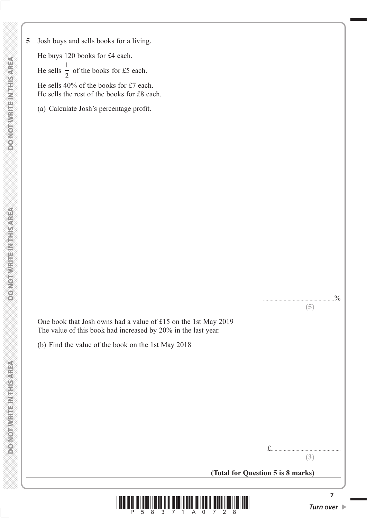- **PONOTNICE TERMS**
- **DO NOT WRITE IN THIS AREA DO NOT WRITE IN THIS AREA DO NOT WRITE IN THIS AREA DO NOT WRITE IN THIS AREA DO NOT WRITE IN THIS AREA DO NOT WRITE IN THIS AREA DO NOT WRITE IN THIS AREA DO NOT WRITE IN THIS AREA DO NOT WRITE DOMOTHER REPAIRING**

**5** Josh buys and sells books for a living.

He buys 120 books for £4 each.

 He sells 1  $\frac{1}{2}$  of the books for £5 each. He sells 40% of the books for £7 each. He sells the rest of the books for £8 each.

(a) Calculate Josh's percentage profit.

 One book that Josh owns had a value of £15 on the 1st May 2019 The value of this book had increased by 20% in the last year.

(b) Find the value of the book on the 1st May 2018

£...................................................... **(3)**

**(Total for Question 5 is 8 marks)**



.......................................................%

**(5)**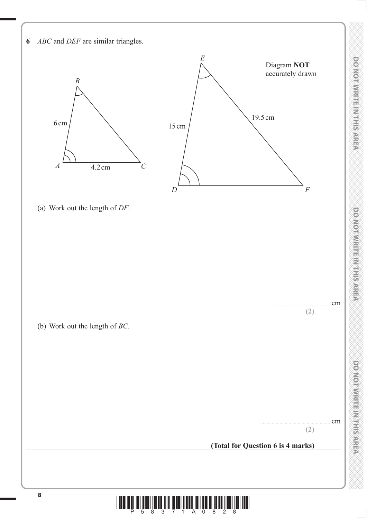

 **DO NOT WRITE IN THE IN THIS AREA DO NOT WRITE IN THIS AREA DO NOT WRITE IN THIS AREA DO NOT WRITE IN THIS AREA DO NOT WRITE IN THE INTERNATIONAL CONTINUES. THE INTERNATIONAL CONTINUES.**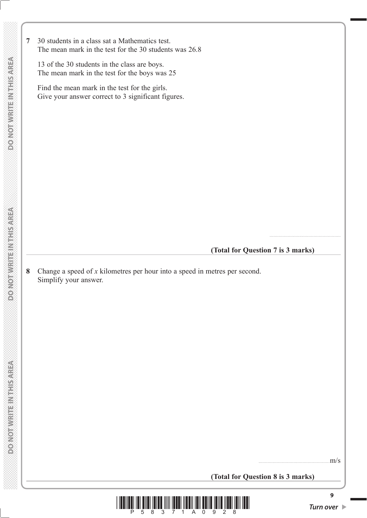**7** 30 students in a class sat a Mathematics test. The mean mark in the test for the 30 students was 26.8

 13 of the 30 students in the class are boys. The mean mark in the test for the boys was 25

 Find the mean mark in the test for the girls. Give your answer correct to 3 significant figures.

#### **(Total for Question 7 is 3 marks)**

.......................................................

**8** Change a speed of *x* kilometres per hour into a speed in metres per second. Simplify your answer.

**(Total for Question 8 is 3 marks)**



**9**

.......................................................m/s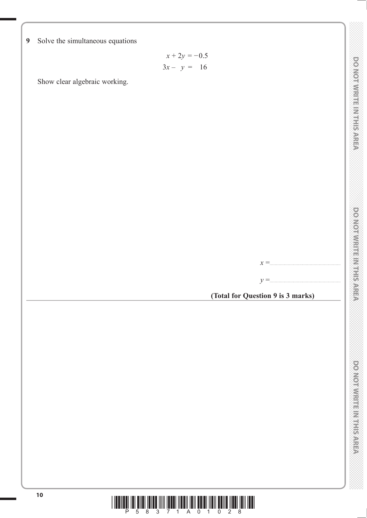**9** Solve the simultaneous equations

$$
x + 2y = -0.5
$$

$$
3x - y = 16
$$

Show clear algebraic working.

*x* =.......................................................

*y* =.......................................................

**(Total for Question 9 is 3 marks)**

DO NOT WRITE IN THIS AREA



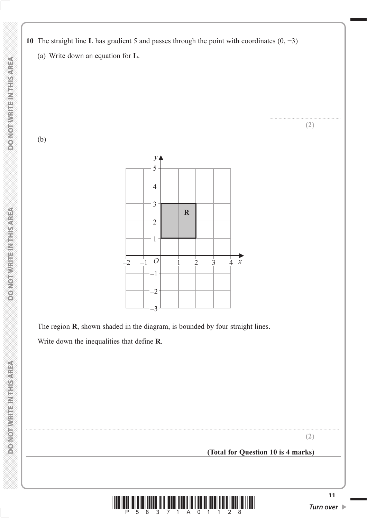**10** The straight line **L** has gradient 5 and passes through the point with coordinates  $(0, -3)$ 

(a) Write down an equation for **L**.

(b)



The region **R**, shown shaded in the diagram, is bounded by four straight lines.

Write down the inequalities that define **R**.

**(2)**

....................................................... **(2)**

**(Total for Question 10 is 4 marks)**



..................................................................................................................................................................................................................................................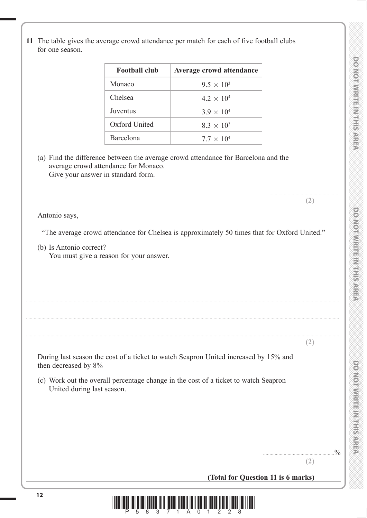**11** The table gives the average crowd attendance per match for each of five football clubs for one season.

| <b>Football club</b> | Average crowd attendance |
|----------------------|--------------------------|
| Monaco               | $9.5 \times 10^{3}$      |
| Chelsea              | $4.2 \times 10^{4}$      |
| Juventus             | $3.9 \times 10^{4}$      |
| Oxford United        | $8.3 \times 10^{3}$      |
| Barcelona            | $7.7 \times 10^{4}$      |

 (a) Find the difference between the average crowd attendance for Barcelona and the average crowd attendance for Monaco. Give your answer in standard form.

Antonio says,

"The average crowd attendance for Chelsea is approximately 50 times that for Oxford United."

..................................................................................................................................................................................................................................................

..................................................................................................................................................................................................................................................

..................................................................................................................................................................................................................................................

(b) Is Antonio correct?

You must give a reason for your answer.

**(2)**

....................................................... **(2)**

 During last season the cost of a ticket to watch Seapron United increased by 15% and then decreased by 8%

 (c) Work out the overall percentage change in the cost of a ticket to watch Seapron United during last season.

.......................................................%

**(2)**

**(Total for Question 11 is 6 marks)**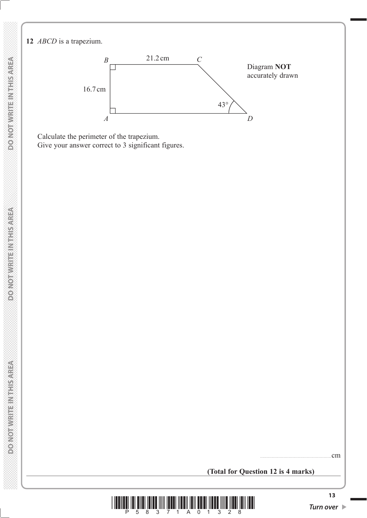#### **12** *ABCD* is a trapezium.



 Calculate the perimeter of the trapezium. Give your answer correct to 3 significant figures.

**(Total for Question 12 is 4 marks)**

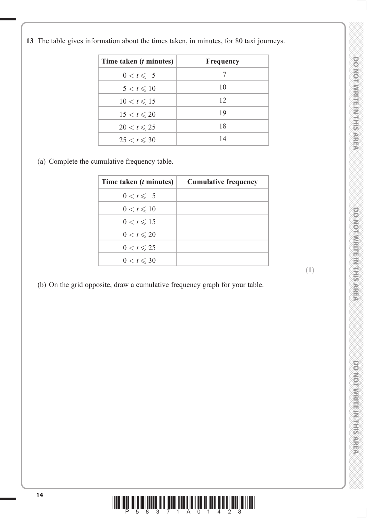| ï | ř. |          |   |  |
|---|----|----------|---|--|
| ï |    |          |   |  |
|   |    |          |   |  |
|   |    |          |   |  |
|   |    | <b>C</b> |   |  |
|   |    |          |   |  |
|   |    |          |   |  |
|   |    |          |   |  |
|   |    |          |   |  |
| ï |    |          |   |  |
|   |    |          |   |  |
|   | è  |          |   |  |
|   |    |          |   |  |
|   | į  |          |   |  |
| ï |    |          |   |  |
| ï |    | ž        |   |  |
|   |    |          |   |  |
|   |    |          |   |  |
|   |    |          |   |  |
| ï |    |          |   |  |
| ï |    |          |   |  |
|   |    |          |   |  |
|   |    |          |   |  |
|   |    |          |   |  |
|   |    |          |   |  |
|   |    |          |   |  |
|   |    |          |   |  |
|   |    |          |   |  |
| ï |    | Z        |   |  |
|   |    |          |   |  |
|   |    |          |   |  |
|   |    |          |   |  |
|   |    |          |   |  |
| j |    | Ť        |   |  |
| ï |    |          |   |  |
|   | í  |          |   |  |
|   |    |          |   |  |
| ï |    |          | é |  |
|   | J  |          |   |  |
|   |    |          |   |  |
|   |    |          |   |  |
|   |    |          |   |  |
|   |    |          |   |  |
|   | l  |          |   |  |
|   |    |          |   |  |
|   | d  |          |   |  |
|   |    |          |   |  |
|   |    |          |   |  |
|   | È  |          |   |  |
|   |    |          |   |  |
|   |    |          |   |  |
|   |    |          |   |  |
|   | I  |          |   |  |
|   |    |          |   |  |
|   |    |          |   |  |

**(1)**

| Time taken ( <i>t</i> minutes) | Frequency |
|--------------------------------|-----------|
| $0 < t \leqslant 5$            |           |
| $5 < t \leqslant 10$           | 10        |
| $10 < t \le 15$                | 12        |
| $15 < t \le 20$                | 19        |
| $20 < t \leqslant 25$          | 18        |
| $25 < t \leqslant 30$          | 14        |

The table gives information about the times taken, in minutes, for 80 taxi journeys.

(a) Complete the cumulative frequency table.

| Time taken ( <i>t</i> minutes) | <b>Cumulative frequency</b> |
|--------------------------------|-----------------------------|
| $0 < t \leqslant 5$            |                             |
| $0 < t \leqslant 10$           |                             |
| $0 < t \leqslant 15$           |                             |
| $0 < t \leqslant 20$           |                             |
| $0 < t \leqslant 25$           |                             |
| $0 < t \leqslant 30$           |                             |

(b) On the grid opposite, draw a cumulative frequency graph for your table.

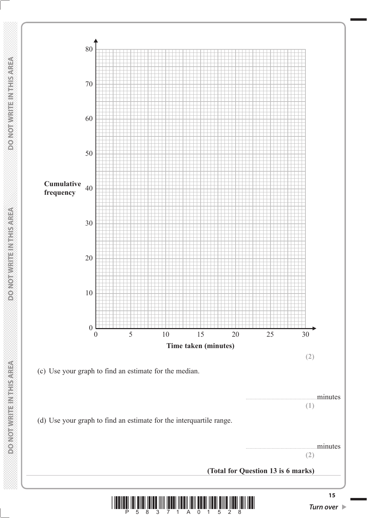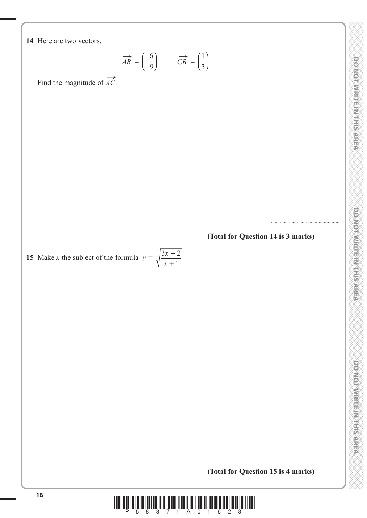$\overrightarrow{AB} = \begin{pmatrix} 6 \\ 8 \end{pmatrix}$ −9 ⎝ ⎜  $\overrightarrow{CB} = \begin{pmatrix} 1 \\ 3 \end{pmatrix}$ ⎝ ⎜  $\overline{a}$ Find the magnitude of  $\overrightarrow{AC}$ . ....................................................... **(Total for Question 14 is 3 marks) 15** Make *x* the subject of the formula  $y =$  $\frac{1}{3x-2}$ 1 *x x* − + .......................................................

⎛

⎞

⎛

 $\lambda$ 

 **DO NOT WRITE IN THE IN THIS AREA DO NOT WRITE IN THIS AREA DO NOT WRITE IN THIS AREA DO NOT WRITE IN THIS AREA DO NOT WRITE IN THE INTERNATIONAL CONTINUES. THE INTERNATIONAL CONTINUES. DOMORWRITER REFERENCE** 

DO NOT WRITE IN THIS AREA

DONOI WRITEINI HISAREA

**(Total for Question 15 is 4 marks)**



**14** Here are two vectors.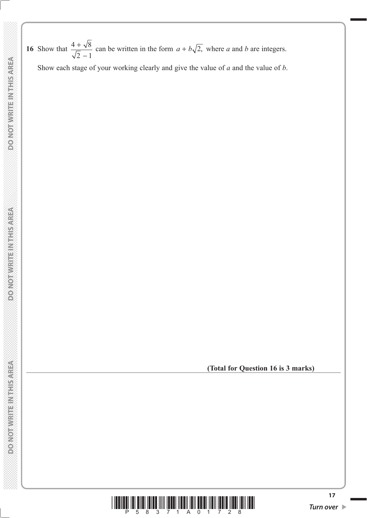**16** Show that  $\frac{4+\sqrt{8}}{2}$  $\overline{2}$  – 1  $\frac{+\sqrt{8}}{2-1}$  can be written in the form  $a + b\sqrt{2}$ , where *a* and *b* are integers.

Show each stage of your working clearly and give the value of *a* and the value of *b*.

**(Total for Question 16 is 3 marks)**

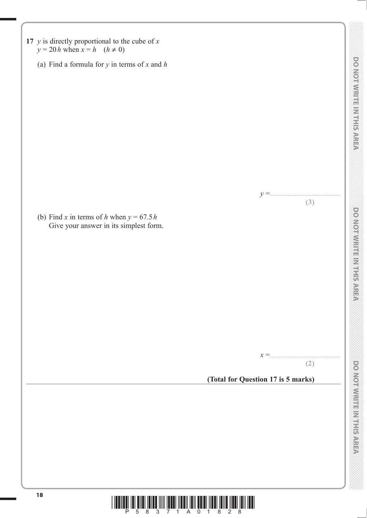| 17 $y$ is directly proportional to the cube of $x$<br>$y = 20h$ when $x = h$ $(h \neq 0)$ |                                                    |
|-------------------------------------------------------------------------------------------|----------------------------------------------------|
| (a) Find a formula for $y$ in terms of $x$ and $h$                                        |                                                    |
| (b) Find x in terms of h when $y = 67.5 h$<br>Give your answer in its simplest form.      | (3)                                                |
|                                                                                           | $x =$<br>(2)<br>(Total for Question 17 is 5 marks) |
|                                                                                           |                                                    |

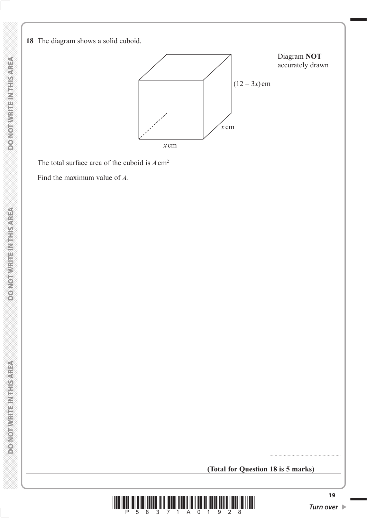**18** The diagram shows a solid cuboid.



The total surface area of the cuboid is *A* cm2

Find the maximum value of *A*.



.......................................................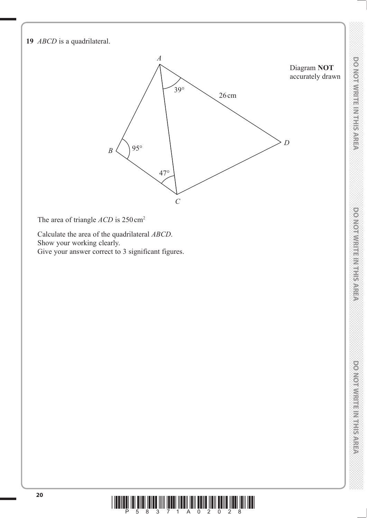# **DOMORWRITER REFERENCE**





The area of triangle *ACD* is 250 cm<sup>2</sup>

 Calculate the area of the quadrilateral *ABCD*. Show your working clearly. Give your answer correct to 3 significant figures.

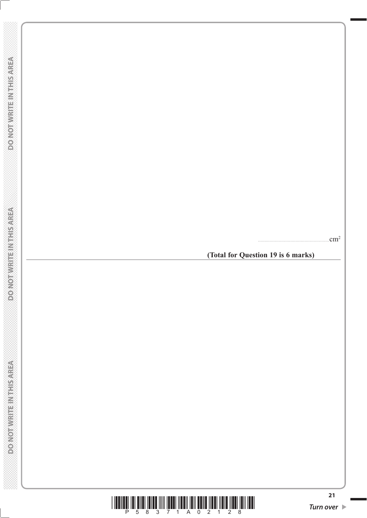| $\sim$ cm <sup>2</sup><br>(Total for Question 19 is 6 marks) |  |
|--------------------------------------------------------------|--|
|                                                              |  |
|                                                              |  |

₩

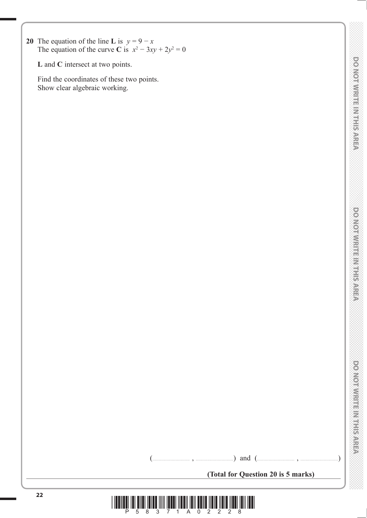DO NOTWRITE IN THIS AREA

DO NOTWRITE IN THE AREA

**20** The equation of the line **L** is  $y = 9 - x$ The equation of the curve **C** is  $x^2 - 3xy + 2y^2 = 0$ 

**L** and **C** intersect at two points.

 Find the coordinates of these two points. Show clear algebraic working.

(............................. , .............................) and (............................. , .............................)

**(Total for Question 20 is 5 marks)**

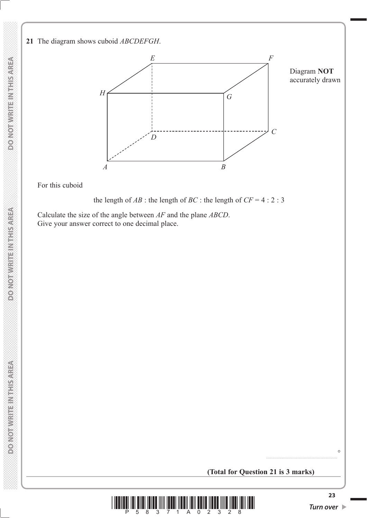**21** The diagram shows cuboid *ABCDEFGH*.



For this cuboid

the length of  $AB$  : the length of  $BC$  : the length of  $CF = 4 : 2 : 3$ 

 Calculate the size of the angle between *AF* and the plane *ABCD*. Give your answer correct to one decimal place.

### **(Total for Question 21 is 3 marks)**



*Turn over* 

.......................................................°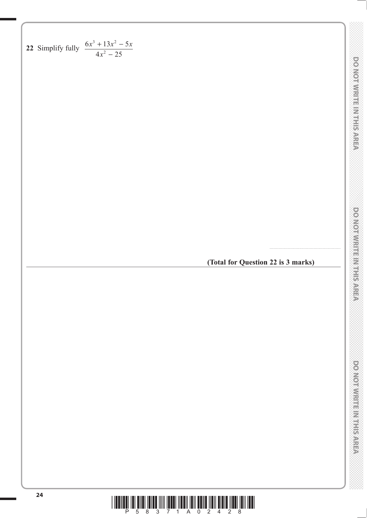22 Simplify fully 
$$
\frac{6x^3 + 13x^2 - 5x}{4x^2 - 25}
$$
\n23 Simplify fully 
$$
\frac{6x^3 + 13x^2 - 5x}{4x^2 - 25}
$$
\n24\n(Total for Question 22 is 3 marks)\n(Total for Question 22 is 3 marks)

I

ſ

**<sup>24</sup>** \*P58371A02428\*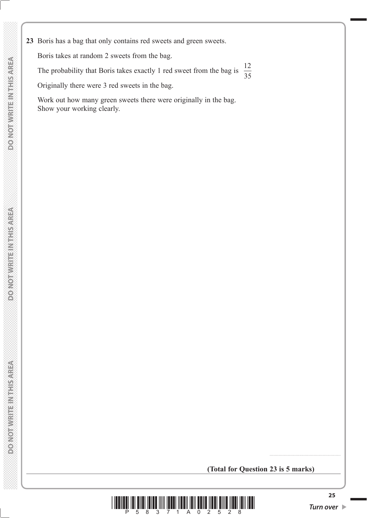**23** Boris has a bag that only contains red sweets and green sweets.

Boris takes at random 2 sweets from the bag.

The probability that Boris takes exactly 1 red sweet from the bag is  $\frac{12}{35}$ 

Originally there were 3 red sweets in the bag.

 Work out how many green sweets there were originally in the bag. Show your working clearly.



.......................................................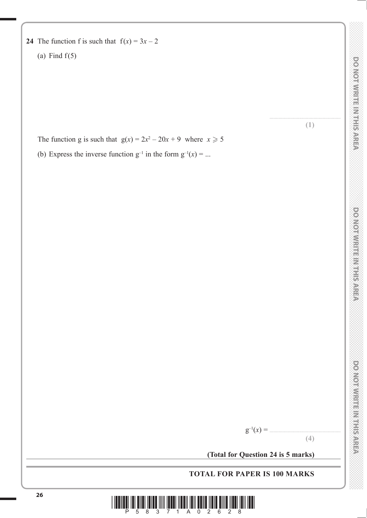# **24** The function f is such that  $f(x) = 3x - 2$

(a) Find  $f(5)$ 

**(1)**

.......................................................

The function g is such that  $g(x) = 2x^2 - 20x + 9$  where  $x \ge 5$ 

(b) Express the inverse function  $g^{-1}$  in the form  $g^{-1}(x) = ...$ 



**(4)**

**(Total for Question 24 is 5 marks)**

# **TOTAL FOR PAPER IS 100 MARKS**

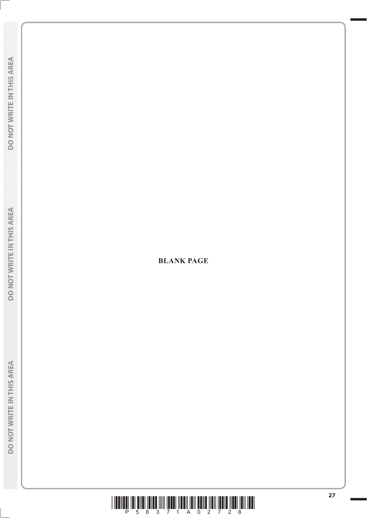**BLANK PAGE**